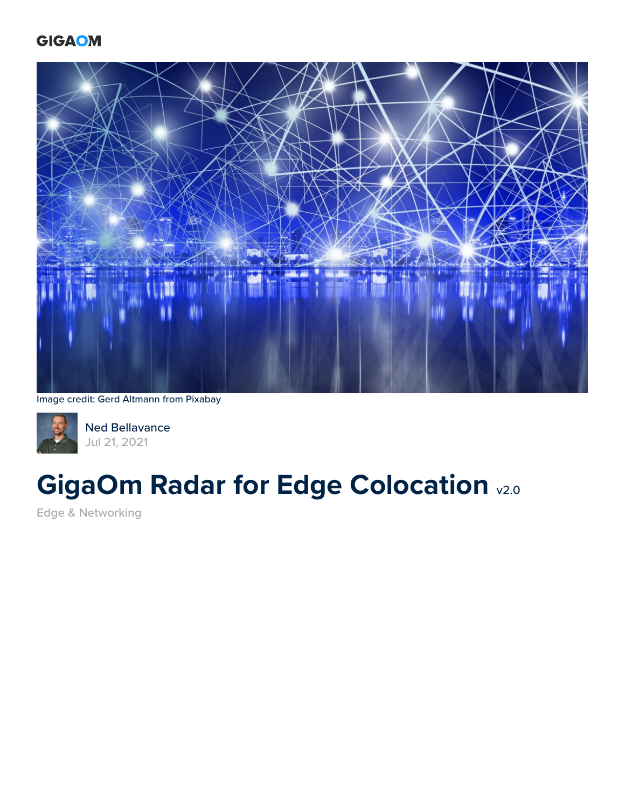### **GIGAOM**



Image credit: Gerd Altmann from Pixabay



[Ned Bellavance](https://gigaom.com/analyst/bellavance-ned/) Jul 21, 2021

# **GigaOm Radar for Edge Colocation v2.0**

[Edge & Networking](https://gigaom.com/research/topic/connectivity/)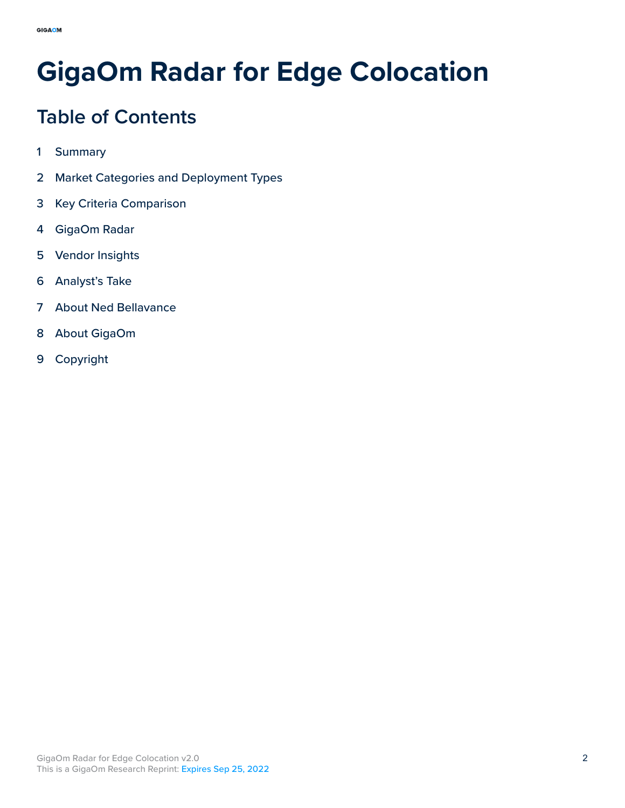# **GigaOm Radar for Edge Colocation**

# **Table of Contents**

- Summary
- [Market Categories and Deployment Types](#page-4-0)
- [Key Criteria Comparison](#page-6-0)
- [GigaOm Radar](#page-8-0)
- [Vendor Insights](#page-10-0)
- [Analyst's Take](#page-17-0)
- [About Ned Bellavance](#page-18-0)
- [About GigaOm](#page-19-0)
- [Copyright](#page-20-0)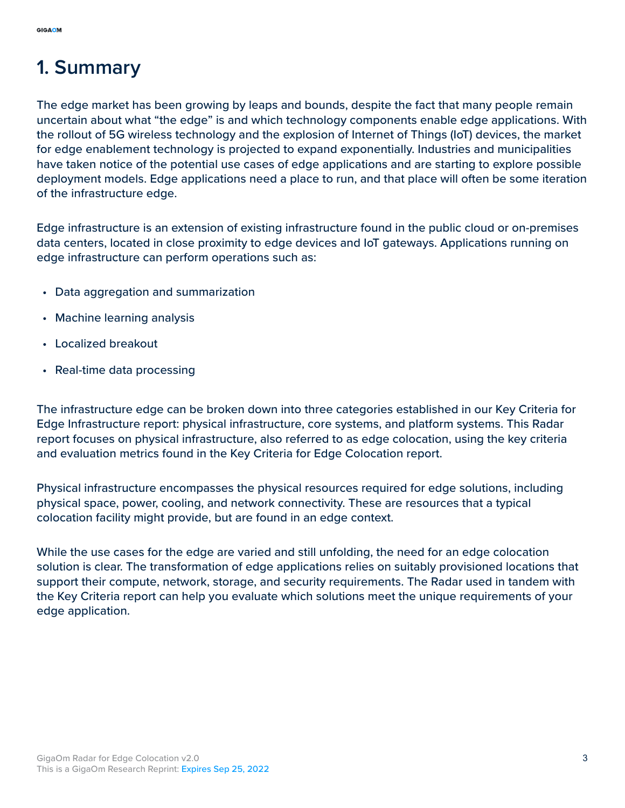# **1. Summary**

The edge market has been growing by leaps and bounds, despite the fact that many people remain uncertain about what "the edge" is and which technology components enable edge applications. With the rollout of 5G wireless technology and the explosion of Internet of Things (IoT) devices, the market for edge enablement technology is projected to expand exponentially. Industries and municipalities have taken notice of the potential use cases of edge applications and are starting to explore possible deployment models. Edge applications need a place to run, and that place will often be some iteration of the infrastructure edge.

Edge infrastructure is an extension of existing infrastructure found in the public cloud or on-premises data centers, located in close proximity to edge devices and IoT gateways. Applications running on edge infrastructure can perform operations such as:

- Data aggregation and summarization
- Machine learning analysis
- Localized breakout
- Real-time data processing

The infrastructure edge can be broken down into three categories established in our Key Criteria for Edge Infrastructure report: physical infrastructure, core systems, and platform systems. This Radar report focuses on physical infrastructure, also referred to as edge colocation, using the key criteria and evaluation metrics found in the Key Criteria for Edge Colocation report.

Physical infrastructure encompasses the physical resources required for edge solutions, including physical space, power, cooling, and network connectivity. These are resources that a typical colocation facility might provide, but are found in an edge context.

While the use cases for the edge are varied and still unfolding, the need for an edge colocation solution is clear. The transformation of edge applications relies on suitably provisioned locations that support their compute, network, storage, and security requirements. The Radar used in tandem with the Key Criteria report can help you evaluate which solutions meet the unique requirements of your edge application.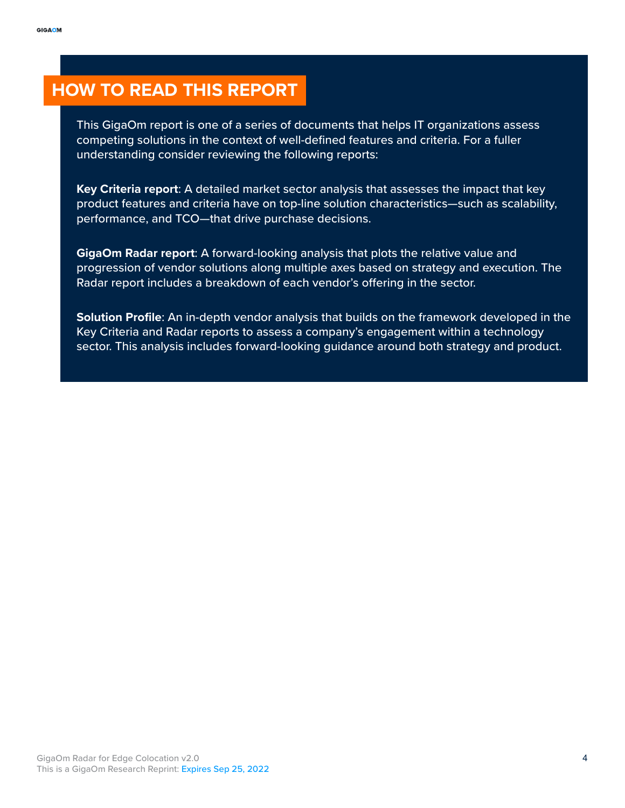### **HOW TO READ THIS REPORT**

This GigaOm report is one of a series of documents that helps IT organizations assess competing solutions in the context of well-defined features and criteria. For a fuller understanding consider reviewing the following reports:

**Key Criteria report**: A detailed market sector analysis that assesses the impact that key product features and criteria have on top-line solution characteristics—such as scalability, performance, and TCO—that drive purchase decisions.

**GigaOm Radar report**: A forward-looking analysis that plots the relative value and progression of vendor solutions along multiple axes based on strategy and execution. The Radar report includes a breakdown of each vendor's offering in the sector.

**Solution Profile**: An in-depth vendor analysis that builds on the framework developed in the Key Criteria and Radar reports to assess a company's engagement within a technology sector. This analysis includes forward-looking guidance around both strategy and product.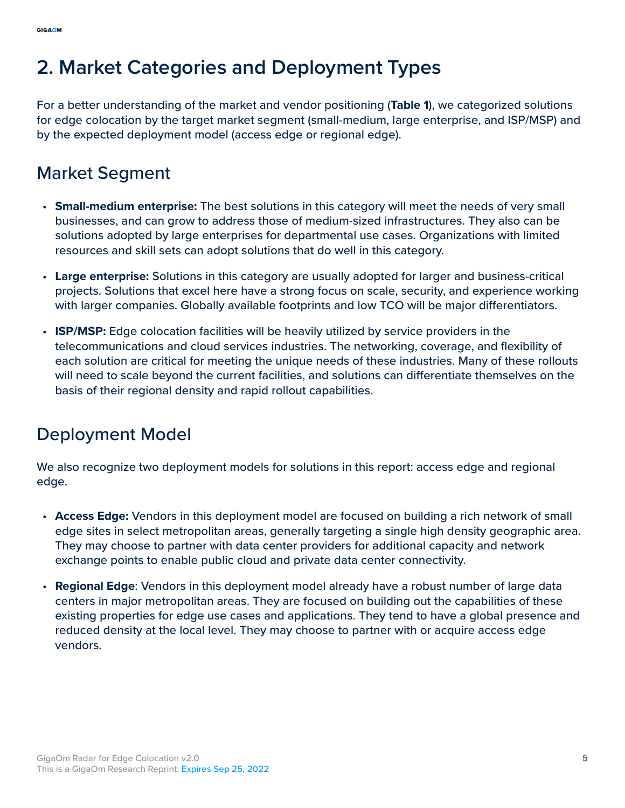# <span id="page-4-0"></span>**2. Market Categories and Deployment Types**

For a better understanding of the market and vendor positioning (**Table 1**), we categorized solutions for edge colocation by the target market segment (small-medium, large enterprise, and ISP/MSP) and by the expected deployment model (access edge or regional edge).

### Market Segment

- **Small-medium enterprise:** The best solutions in this category will meet the needs of very small businesses, and can grow to address those of medium-sized infrastructures. They also can be solutions adopted by large enterprises for departmental use cases. Organizations with limited resources and skill sets can adopt solutions that do well in this category.
- **Large enterprise:** Solutions in this category are usually adopted for larger and business-critical projects. Solutions that excel here have a strong focus on scale, security, and experience working with larger companies. Globally available footprints and low TCO will be major differentiators.
- **ISP/MSP:** Edge colocation facilities will be heavily utilized by service providers in the telecommunications and cloud services industries. The networking, coverage, and flexibility of each solution are critical for meeting the unique needs of these industries. Many of these rollouts will need to scale beyond the current facilities, and solutions can differentiate themselves on the basis of their regional density and rapid rollout capabilities.

### Deployment Model

We also recognize two deployment models for solutions in this report: access edge and regional edge.

- **Access Edge:** Vendors in this deployment model are focused on building a rich network of small edge sites in select metropolitan areas, generally targeting a single high density geographic area. They may choose to partner with data center providers for additional capacity and network exchange points to enable public cloud and private data center connectivity.
- **Regional Edge**: Vendors in this deployment model already have a robust number of large data centers in major metropolitan areas. They are focused on building out the capabilities of these existing properties for edge use cases and applications. They tend to have a global presence and reduced density at the local level. They may choose to partner with or acquire access edge vendors.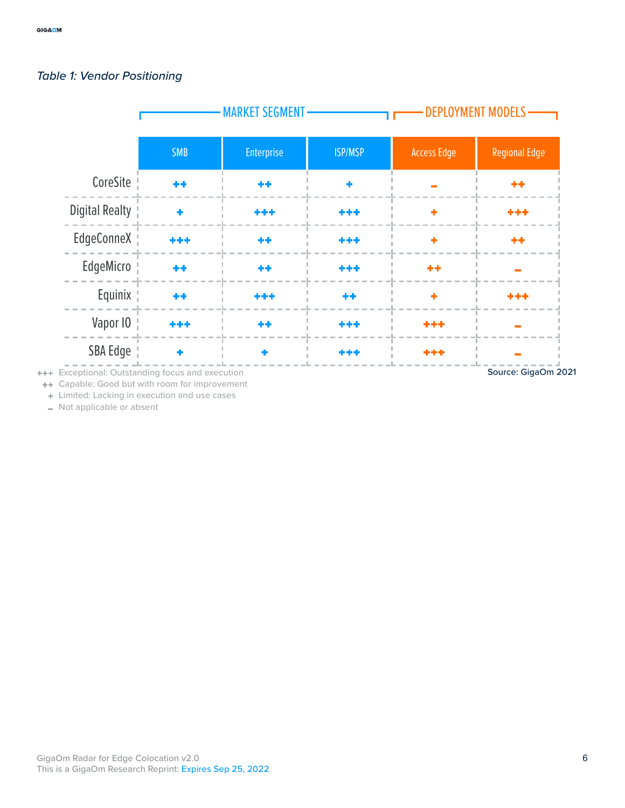#### *Table 1: Vendor Positioning*



Exceptional: Outstanding focus and execution

Source: GigaOm 2021

Capable: Good but with room for improvement  $\left\langle \cdot\right\rangle$ 

Limited: Lacking in execution and use cases  $\Phi$ 

Not applicable or absent L.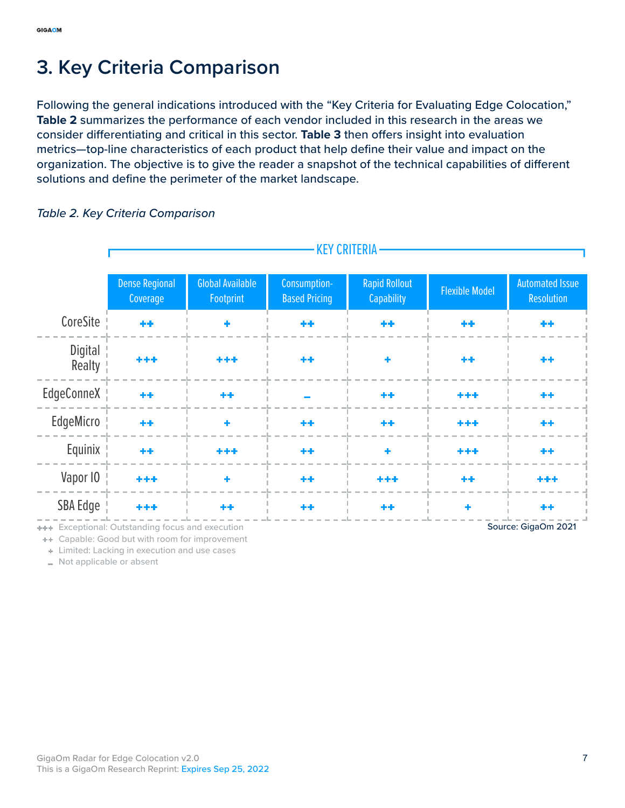# <span id="page-6-0"></span>**3. Key Criteria Comparison**

Following the general indications introduced with the "Key Criteria for Evaluating Edge Colocation," **Table 2** summarizes the performance of each vendor included in this research in the areas we consider differentiating and critical in this sector. **Table 3** then offers insight into evaluation metrics—top-line characteristics of each product that help define their value and impact on the organization. The objective is to give the reader a snapshot of the technical capabilities of different solutions and define the perimeter of the market landscape.

#### KEY CRITERIA Dense Regional Global Available Consumption-Rapid Rollout apid Rollout Flexible Model Automated Issue<br>Capability Flexible Model Resolution **Footprint** Coverage Based Pricing **Resolution CoreSite** 44 ÷ 44 \*\* \*\* ++ **Digital** وأباطه بار بار بار بار Realty EdgeConneX 44 44 44 \*\*\* 44 EdgeMicro 44 44 \*\*\* 44 Equinix ا د ÷. \*\*\* \*\*\* Vapor IO 44 ++ \*\*\* SBA Edge 44 ٠ \*\*\* -1-1 44

#### *Table 2. Key Criteria Comparison*

**+++** Exceptional: Outstanding focus and execution

**++** Capable: Good but with room for improvement

Limited: Lacking in execution and use cases  $\bar{q}_\mathrm{B}$ 

Not applicable or absent

Source: GigaOm 2021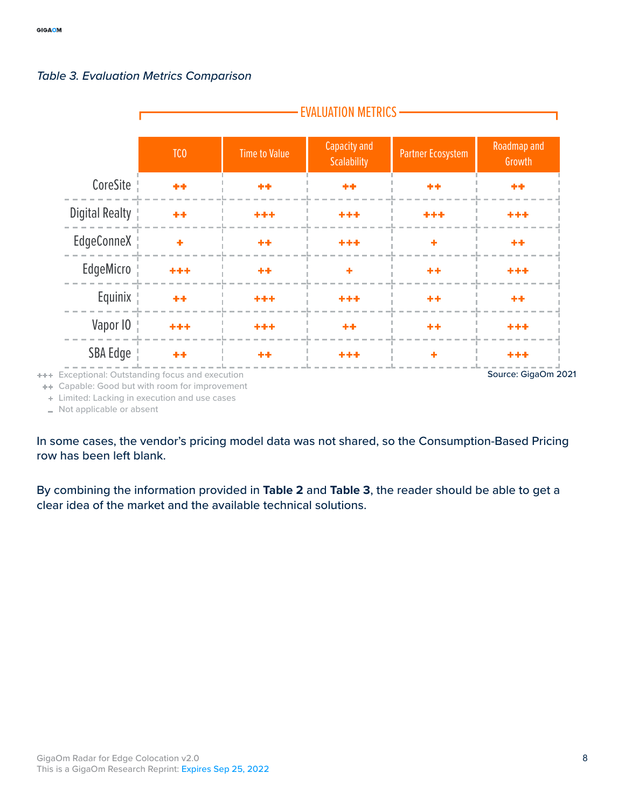

#### *Table 3. Evaluation Metrics Comparison*

Capable: Good but with room for improvement ÷÷.

 $\ddot{\phi}$ Limited: Lacking in execution and use cases

Not applicable or absent  $\overline{a}$ 

In some cases, the vendor's pricing model data was not shared, so the Consumption-Based Pricing row has been left blank.

By combining the information provided in **Table 2** and **Table 3**, the reader should be able to get a clear idea of the market and the available technical solutions.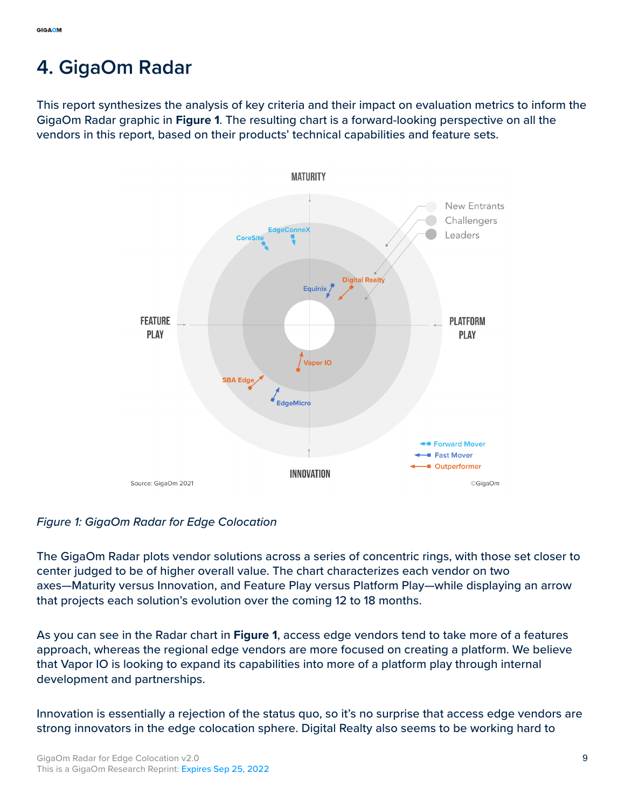# <span id="page-8-0"></span>**4. GigaOm Radar**

This report synthesizes the analysis of key criteria and their impact on evaluation metrics to inform the GigaOm Radar graphic in **Figure 1**. The resulting chart is a forward-looking perspective on all the vendors in this report, based on their products' technical capabilities and feature sets.



#### *Figure 1: GigaOm Radar for Edge Colocation*

The GigaOm Radar plots vendor solutions across a series of concentric rings, with those set closer to center judged to be of higher overall value. The chart characterizes each vendor on two axes—Maturity versus Innovation, and Feature Play versus Platform Play—while displaying an arrow that projects each solution's evolution over the coming 12 to 18 months.

As you can see in the Radar chart in **Figure 1**, access edge vendors tend to take more of a features approach, whereas the regional edge vendors are more focused on creating a platform. We believe that Vapor IO is looking to expand its capabilities into more of a platform play through internal development and partnerships.

Innovation is essentially a rejection of the status quo, so it's no surprise that access edge vendors are strong innovators in the edge colocation sphere. Digital Realty also seems to be working hard to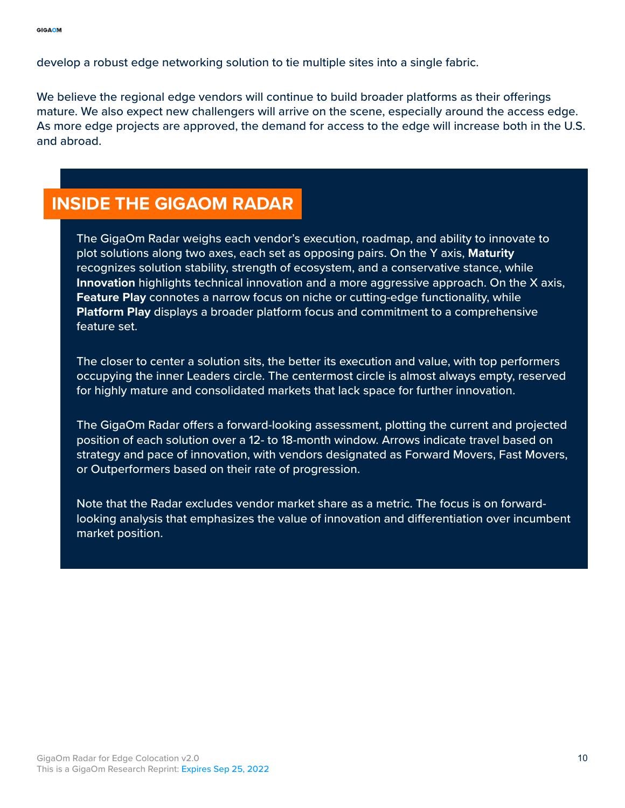develop a robust edge networking solution to tie multiple sites into a single fabric.

We believe the regional edge vendors will continue to build broader platforms as their offerings mature. We also expect new challengers will arrive on the scene, especially around the access edge. As more edge projects are approved, the demand for access to the edge will increase both in the U.S. and abroad.

### **INSIDE THE GIGAOM RADAR**

The GigaOm Radar weighs each vendor's execution, roadmap, and ability to innovate to plot solutions along two axes, each set as opposing pairs. On the Y axis, **Maturity** recognizes solution stability, strength of ecosystem, and a conservative stance, while **Innovation** highlights technical innovation and a more aggressive approach. On the X axis, **Feature Play** connotes a narrow focus on niche or cutting-edge functionality, while **Platform Play** displays a broader platform focus and commitment to a comprehensive feature set.

The closer to center a solution sits, the better its execution and value, with top performers occupying the inner Leaders circle. The centermost circle is almost always empty, reserved for highly mature and consolidated markets that lack space for further innovation.

The GigaOm Radar offers a forward-looking assessment, plotting the current and projected position of each solution over a 12- to 18-month window. Arrows indicate travel based on strategy and pace of innovation, with vendors designated as Forward Movers, Fast Movers, or Outperformers based on their rate of progression.

Note that the Radar excludes vendor market share as a metric. The focus is on forwardlooking analysis that emphasizes the value of innovation and differentiation over incumbent market position.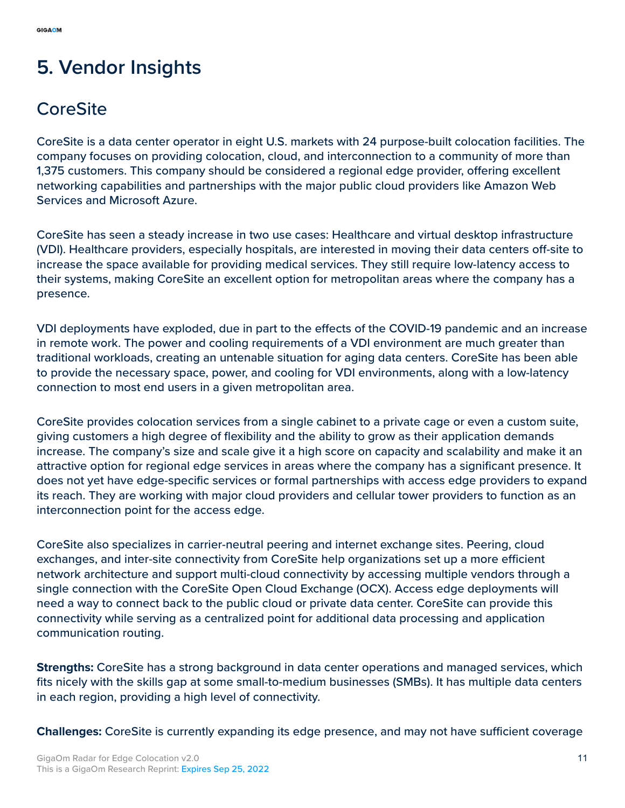# <span id="page-10-0"></span>**5. Vendor Insights**

## **CoreSite**

CoreSite is a data center operator in eight U.S. markets with 24 purpose-built colocation facilities. The company focuses on providing colocation, cloud, and interconnection to a community of more than 1,375 customers. This company should be considered a regional edge provider, offering excellent networking capabilities and partnerships with the major public cloud providers like Amazon Web Services and Microsoft Azure.

CoreSite has seen a steady increase in two use cases: Healthcare and virtual desktop infrastructure (VDI). Healthcare providers, especially hospitals, are interested in moving their data centers off-site to increase the space available for providing medical services. They still require low-latency access to their systems, making CoreSite an excellent option for metropolitan areas where the company has a presence.

VDI deployments have exploded, due in part to the effects of the COVID-19 pandemic and an increase in remote work. The power and cooling requirements of a VDI environment are much greater than traditional workloads, creating an untenable situation for aging data centers. CoreSite has been able to provide the necessary space, power, and cooling for VDI environments, along with a low-latency connection to most end users in a given metropolitan area.

CoreSite provides colocation services from a single cabinet to a private cage or even a custom suite, giving customers a high degree of flexibility and the ability to grow as their application demands increase. The company's size and scale give it a high score on capacity and scalability and make it an attractive option for regional edge services in areas where the company has a significant presence. It does not yet have edge-specific services or formal partnerships with access edge providers to expand its reach. They are working with major cloud providers and cellular tower providers to function as an interconnection point for the access edge.

CoreSite also specializes in carrier-neutral peering and internet exchange sites. Peering, cloud exchanges, and inter-site connectivity from CoreSite help organizations set up a more efficient network architecture and support multi-cloud connectivity by accessing multiple vendors through a single connection with the CoreSite Open Cloud Exchange (OCX). Access edge deployments will need a way to connect back to the public cloud or private data center. CoreSite can provide this connectivity while serving as a centralized point for additional data processing and application communication routing.

**Strengths:** CoreSite has a strong background in data center operations and managed services, which fits nicely with the skills gap at some small-to-medium businesses (SMBs). It has multiple data centers in each region, providing a high level of connectivity.

**Challenges:** CoreSite is currently expanding its edge presence, and may not have sufficient coverage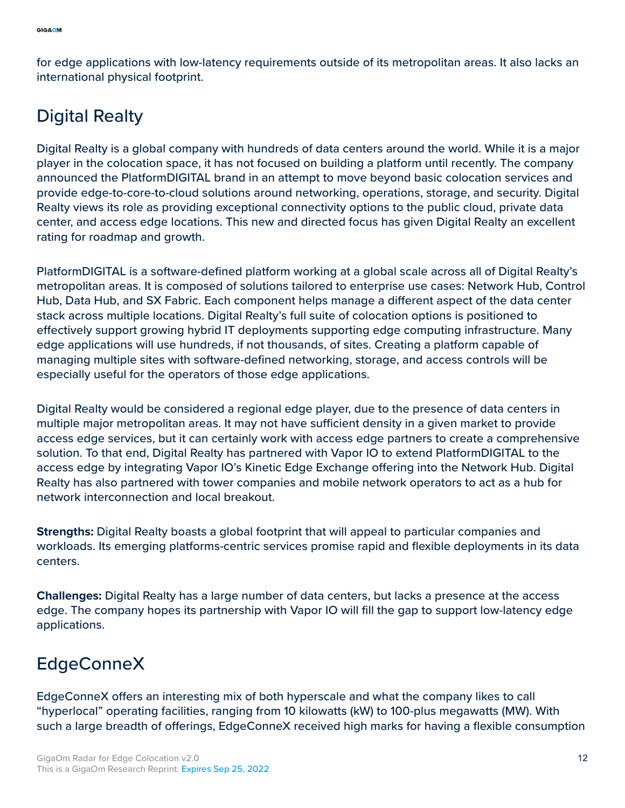for edge applications with low-latency requirements outside of its metropolitan areas. It also lacks an international physical footprint.

### Digital Realty

Digital Realty is a global company with hundreds of data centers around the world. While it is a major player in the colocation space, it has not focused on building a platform until recently. The company announced the PlatformDIGITAL brand in an attempt to move beyond basic colocation services and provide edge-to-core-to-cloud solutions around networking, operations, storage, and security. Digital Realty views its role as providing exceptional connectivity options to the public cloud, private data center, and access edge locations. This new and directed focus has given Digital Realty an excellent rating for roadmap and growth.

PlatformDIGITAL is a software-defined platform working at a global scale across all of Digital Realty's metropolitan areas. It is composed of solutions tailored to enterprise use cases: Network Hub, Control Hub, Data Hub, and SX Fabric. Each component helps manage a different aspect of the data center stack across multiple locations. Digital Realty's full suite of colocation options is positioned to effectively support growing hybrid IT deployments supporting edge computing infrastructure. Many edge applications will use hundreds, if not thousands, of sites. Creating a platform capable of managing multiple sites with software-defined networking, storage, and access controls will be especially useful for the operators of those edge applications.

Digital Realty would be considered a regional edge player, due to the presence of data centers in multiple major metropolitan areas. It may not have sufficient density in a given market to provide access edge services, but it can certainly work with access edge partners to create a comprehensive solution. To that end, Digital Realty has partnered with Vapor IO to extend PlatformDIGITAL to the access edge by integrating Vapor IO's Kinetic Edge Exchange offering into the Network Hub. Digital Realty has also partnered with tower companies and mobile network operators to act as a hub for network interconnection and local breakout.

**Strengths:** Digital Realty boasts a global footprint that will appeal to particular companies and workloads. Its emerging platforms-centric services promise rapid and flexible deployments in its data centers.

**Challenges:** Digital Realty has a large number of data centers, but lacks a presence at the access edge. The company hopes its partnership with Vapor IO will fill the gap to support low-latency edge applications.

### EdgeConneX

EdgeConneX offers an interesting mix of both hyperscale and what the company likes to call "hyperlocal" operating facilities, ranging from 10 kilowatts (kW) to 100-plus megawatts (MW). With such a large breadth of offerings, EdgeConneX received high marks for having a flexible consumption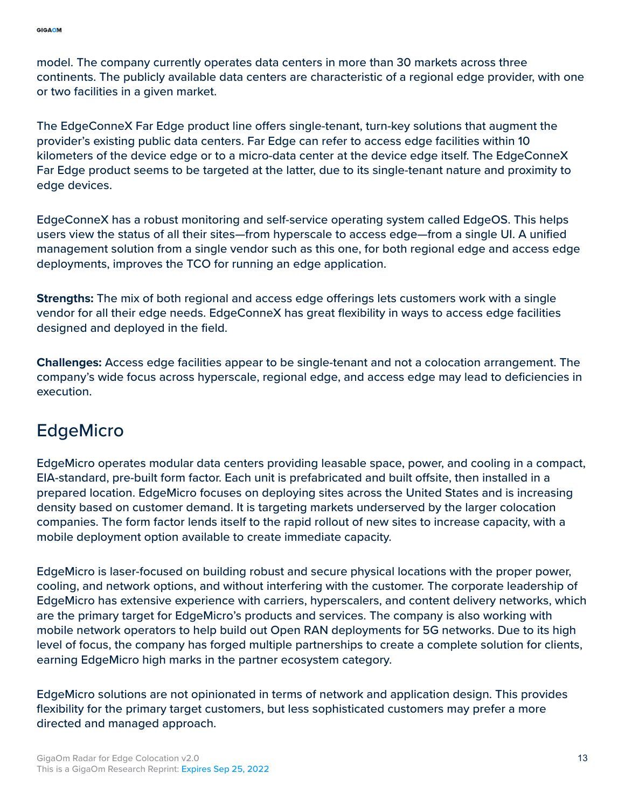model. The company currently operates data centers in more than 30 markets across three continents. The publicly available data centers are characteristic of a regional edge provider, with one or two facilities in a given market.

The EdgeConneX Far Edge product line offers single-tenant, turn-key solutions that augment the provider's existing public data centers. Far Edge can refer to access edge facilities within 10 kilometers of the device edge or to a micro-data center at the device edge itself. The EdgeConneX Far Edge product seems to be targeted at the latter, due to its single-tenant nature and proximity to edge devices.

EdgeConneX has a robust monitoring and self-service operating system called EdgeOS. This helps users view the status of all their sites—from hyperscale to access edge—from a single UI. A unified management solution from a single vendor such as this one, for both regional edge and access edge deployments, improves the TCO for running an edge application.

**Strengths:** The mix of both regional and access edge offerings lets customers work with a single vendor for all their edge needs. EdgeConneX has great flexibility in ways to access edge facilities designed and deployed in the field.

**Challenges:** Access edge facilities appear to be single-tenant and not a colocation arrangement. The company's wide focus across hyperscale, regional edge, and access edge may lead to deficiencies in execution.

### EdgeMicro

EdgeMicro operates modular data centers providing leasable space, power, and cooling in a compact, EIA-standard, pre-built form factor. Each unit is prefabricated and built offsite, then installed in a prepared location. EdgeMicro focuses on deploying sites across the United States and is increasing density based on customer demand. It is targeting markets underserved by the larger colocation companies. The form factor lends itself to the rapid rollout of new sites to increase capacity, with a mobile deployment option available to create immediate capacity.

EdgeMicro is laser-focused on building robust and secure physical locations with the proper power, cooling, and network options, and without interfering with the customer. The corporate leadership of EdgeMicro has extensive experience with carriers, hyperscalers, and content delivery networks, which are the primary target for EdgeMicro's products and services. The company is also working with mobile network operators to help build out Open RAN deployments for 5G networks. Due to its high level of focus, the company has forged multiple partnerships to create a complete solution for clients, earning EdgeMicro high marks in the partner ecosystem category.

EdgeMicro solutions are not opinionated in terms of network and application design. This provides flexibility for the primary target customers, but less sophisticated customers may prefer a more directed and managed approach.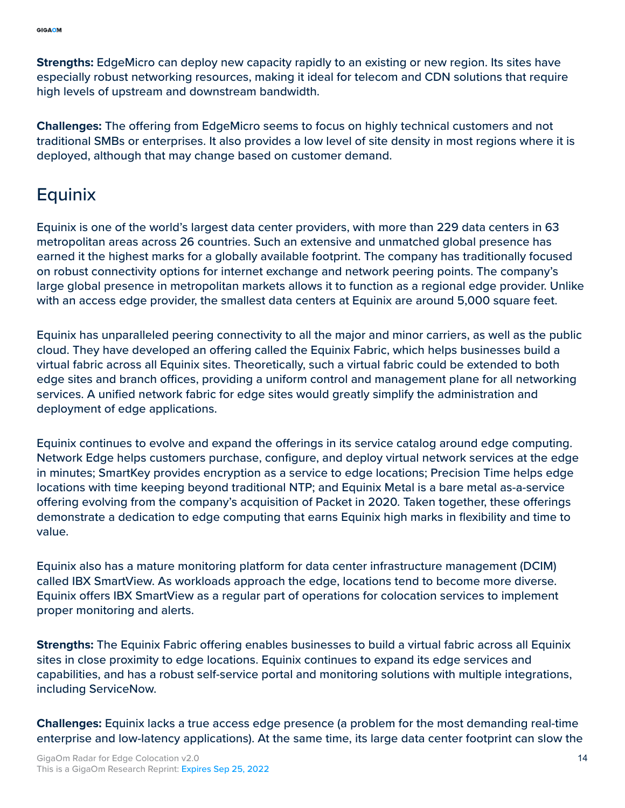**Strengths:** EdgeMicro can deploy new capacity rapidly to an existing or new region. Its sites have especially robust networking resources, making it ideal for telecom and CDN solutions that require high levels of upstream and downstream bandwidth.

**Challenges:** The offering from EdgeMicro seems to focus on highly technical customers and not traditional SMBs or enterprises. It also provides a low level of site density in most regions where it is deployed, although that may change based on customer demand.

### **Equinix**

Equinix is one of the world's largest data center providers, with more than 229 data centers in 63 metropolitan areas across 26 countries. Such an extensive and unmatched global presence has earned it the highest marks for a globally available footprint. The company has traditionally focused on robust connectivity options for internet exchange and network peering points. The company's large global presence in metropolitan markets allows it to function as a regional edge provider. Unlike with an access edge provider, the smallest data centers at Equinix are around 5,000 square feet.

Equinix has unparalleled peering connectivity to all the major and minor carriers, as well as the public cloud. They have developed an offering called the Equinix Fabric, which helps businesses build a virtual fabric across all Equinix sites. Theoretically, such a virtual fabric could be extended to both edge sites and branch offices, providing a uniform control and management plane for all networking services. A unified network fabric for edge sites would greatly simplify the administration and deployment of edge applications.

Equinix continues to evolve and expand the offerings in its service catalog around edge computing. Network Edge helps customers purchase, configure, and deploy virtual network services at the edge in minutes; SmartKey provides encryption as a service to edge locations; Precision Time helps edge locations with time keeping beyond traditional NTP; and Equinix Metal is a bare metal as-a-service offering evolving from the company's acquisition of Packet in 2020. Taken together, these offerings demonstrate a dedication to edge computing that earns Equinix high marks in flexibility and time to value.

Equinix also has a mature monitoring platform for data center infrastructure management (DCIM) called IBX SmartView. As workloads approach the edge, locations tend to become more diverse. Equinix offers IBX SmartView as a regular part of operations for colocation services to implement proper monitoring and alerts.

**Strengths:** The Equinix Fabric offering enables businesses to build a virtual fabric across all Equinix sites in close proximity to edge locations. Equinix continues to expand its edge services and capabilities, and has a robust self-service portal and monitoring solutions with multiple integrations, including ServiceNow.

**Challenges:** Equinix lacks a true access edge presence (a problem for the most demanding real-time enterprise and low-latency applications). At the same time, its large data center footprint can slow the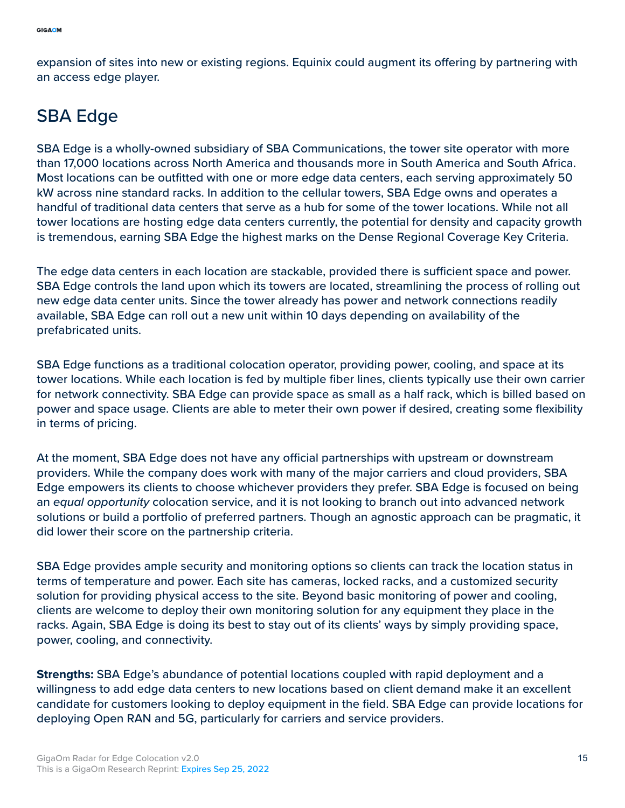expansion of sites into new or existing regions. Equinix could augment its offering by partnering with an access edge player.

### SBA Edge

SBA Edge is a wholly-owned subsidiary of SBA Communications, the tower site operator with more than 17,000 locations across North America and thousands more in South America and South Africa. Most locations can be outfitted with one or more edge data centers, each serving approximately 50 kW across nine standard racks. In addition to the cellular towers, SBA Edge owns and operates a handful of traditional data centers that serve as a hub for some of the tower locations. While not all tower locations are hosting edge data centers currently, the potential for density and capacity growth is tremendous, earning SBA Edge the highest marks on the Dense Regional Coverage Key Criteria.

The edge data centers in each location are stackable, provided there is sufficient space and power. SBA Edge controls the land upon which its towers are located, streamlining the process of rolling out new edge data center units. Since the tower already has power and network connections readily available, SBA Edge can roll out a new unit within 10 days depending on availability of the prefabricated units.

SBA Edge functions as a traditional colocation operator, providing power, cooling, and space at its tower locations. While each location is fed by multiple fiber lines, clients typically use their own carrier for network connectivity. SBA Edge can provide space as small as a half rack, which is billed based on power and space usage. Clients are able to meter their own power if desired, creating some flexibility in terms of pricing.

At the moment, SBA Edge does not have any official partnerships with upstream or downstream providers. While the company does work with many of the major carriers and cloud providers, SBA Edge empowers its clients to choose whichever providers they prefer. SBA Edge is focused on being an *equal opportunity* colocation service, and it is not looking to branch out into advanced network solutions or build a portfolio of preferred partners. Though an agnostic approach can be pragmatic, it did lower their score on the partnership criteria.

SBA Edge provides ample security and monitoring options so clients can track the location status in terms of temperature and power. Each site has cameras, locked racks, and a customized security solution for providing physical access to the site. Beyond basic monitoring of power and cooling, clients are welcome to deploy their own monitoring solution for any equipment they place in the racks. Again, SBA Edge is doing its best to stay out of its clients' ways by simply providing space, power, cooling, and connectivity.

**Strengths:** SBA Edge's abundance of potential locations coupled with rapid deployment and a willingness to add edge data centers to new locations based on client demand make it an excellent candidate for customers looking to deploy equipment in the field. SBA Edge can provide locations for deploying Open RAN and 5G, particularly for carriers and service providers.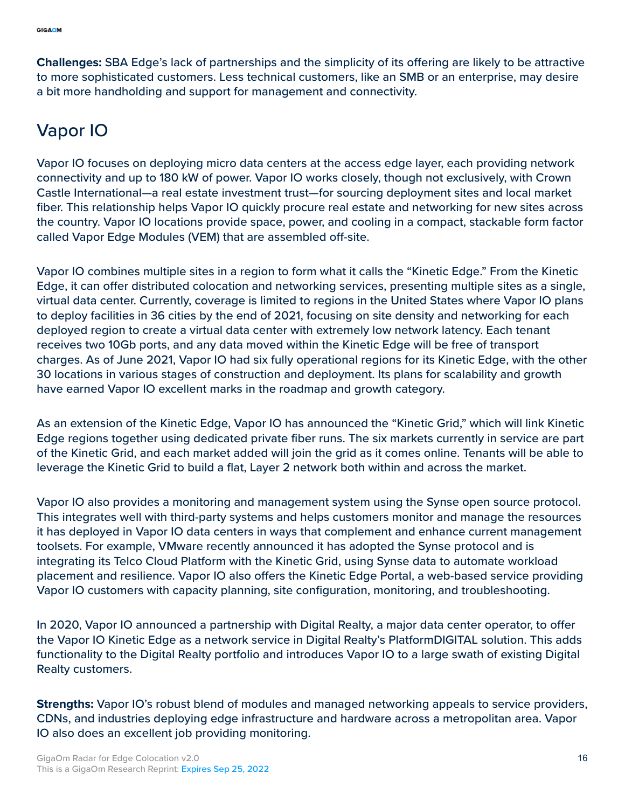**Challenges:** SBA Edge's lack of partnerships and the simplicity of its offering are likely to be attractive to more sophisticated customers. Less technical customers, like an SMB or an enterprise, may desire a bit more handholding and support for management and connectivity.

### Vapor IO

Vapor IO focuses on deploying micro data centers at the access edge layer, each providing network connectivity and up to 180 kW of power. Vapor IO works closely, though not exclusively, with Crown Castle International—a real estate investment trust—for sourcing deployment sites and local market fiber. This relationship helps Vapor IO quickly procure real estate and networking for new sites across the country. Vapor IO locations provide space, power, and cooling in a compact, stackable form factor called Vapor Edge Modules (VEM) that are assembled off-site.

Vapor IO combines multiple sites in a region to form what it calls the "Kinetic Edge." From the Kinetic Edge, it can offer distributed colocation and networking services, presenting multiple sites as a single, virtual data center. Currently, coverage is limited to regions in the United States where Vapor IO plans to deploy facilities in 36 cities by the end of 2021, focusing on site density and networking for each deployed region to create a virtual data center with extremely low network latency. Each tenant receives two 10Gb ports, and any data moved within the Kinetic Edge will be free of transport charges. As of June 2021, Vapor IO had six fully operational regions for its Kinetic Edge, with the other 30 locations in various stages of construction and deployment. Its plans for scalability and growth have earned Vapor IO excellent marks in the roadmap and growth category.

As an extension of the Kinetic Edge, Vapor IO has announced the "Kinetic Grid," which will link Kinetic Edge regions together using dedicated private fiber runs. The six markets currently in service are part of the Kinetic Grid, and each market added will join the grid as it comes online. Tenants will be able to leverage the Kinetic Grid to build a flat, Layer 2 network both within and across the market.

Vapor IO also provides a monitoring and management system using the Synse open source protocol. This integrates well with third-party systems and helps customers monitor and manage the resources it has deployed in Vapor IO data centers in ways that complement and enhance current management toolsets. For example, VMware recently announced it has adopted the Synse protocol and is integrating its Telco Cloud Platform with the Kinetic Grid, using Synse data to automate workload placement and resilience. Vapor IO also offers the Kinetic Edge Portal, a web-based service providing Vapor IO customers with capacity planning, site configuration, monitoring, and troubleshooting.

In 2020, Vapor IO announced a partnership with Digital Realty, a major data center operator, to offer the Vapor IO Kinetic Edge as a network service in Digital Realty's PlatformDIGITAL solution. This adds functionality to the Digital Realty portfolio and introduces Vapor IO to a large swath of existing Digital Realty customers.

**Strengths:** Vapor IO's robust blend of modules and managed networking appeals to service providers, CDNs, and industries deploying edge infrastructure and hardware across a metropolitan area. Vapor IO also does an excellent job providing monitoring.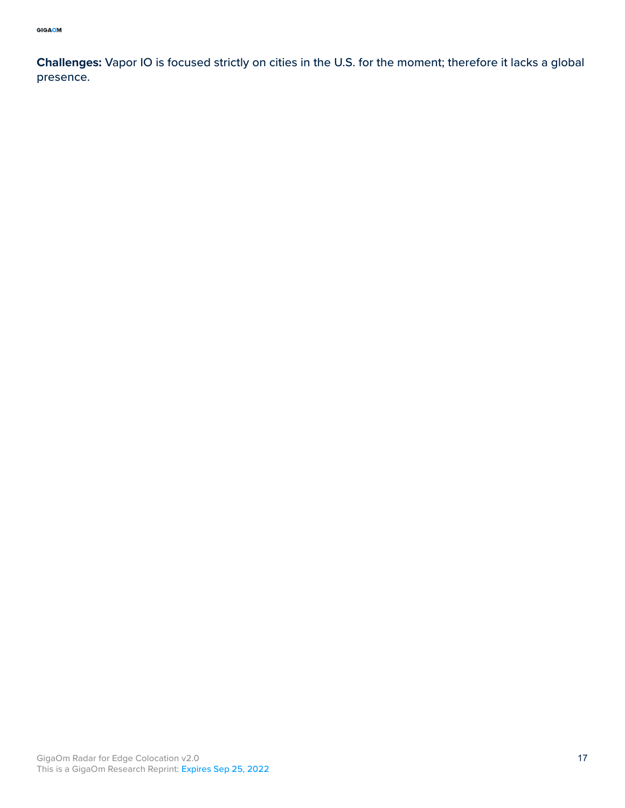**Challenges:** Vapor IO is focused strictly on cities in the U.S. for the moment; therefore it lacks a global presence.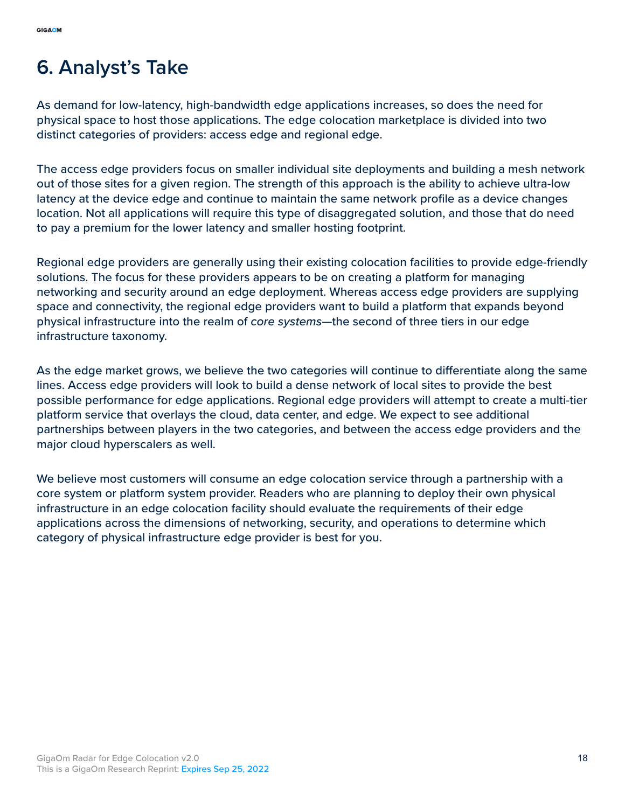# <span id="page-17-0"></span>**6. Analyst's Take**

As demand for low-latency, high-bandwidth edge applications increases, so does the need for physical space to host those applications. The edge colocation marketplace is divided into two distinct categories of providers: access edge and regional edge.

The access edge providers focus on smaller individual site deployments and building a mesh network out of those sites for a given region. The strength of this approach is the ability to achieve ultra-low latency at the device edge and continue to maintain the same network profile as a device changes location. Not all applications will require this type of disaggregated solution, and those that do need to pay a premium for the lower latency and smaller hosting footprint.

Regional edge providers are generally using their existing colocation facilities to provide edge-friendly solutions. The focus for these providers appears to be on creating a platform for managing networking and security around an edge deployment. Whereas access edge providers are supplying space and connectivity, the regional edge providers want to build a platform that expands beyond physical infrastructure into the realm of *core systems—*the second of three tiers in our edge infrastructure taxonomy.

As the edge market grows, we believe the two categories will continue to differentiate along the same lines. Access edge providers will look to build a dense network of local sites to provide the best possible performance for edge applications. Regional edge providers will attempt to create a multi-tier platform service that overlays the cloud, data center, and edge. We expect to see additional partnerships between players in the two categories, and between the access edge providers and the major cloud hyperscalers as well.

We believe most customers will consume an edge colocation service through a partnership with a core system or platform system provider. Readers who are planning to deploy their own physical infrastructure in an edge colocation facility should evaluate the requirements of their edge applications across the dimensions of networking, security, and operations to determine which category of physical infrastructure edge provider is best for you.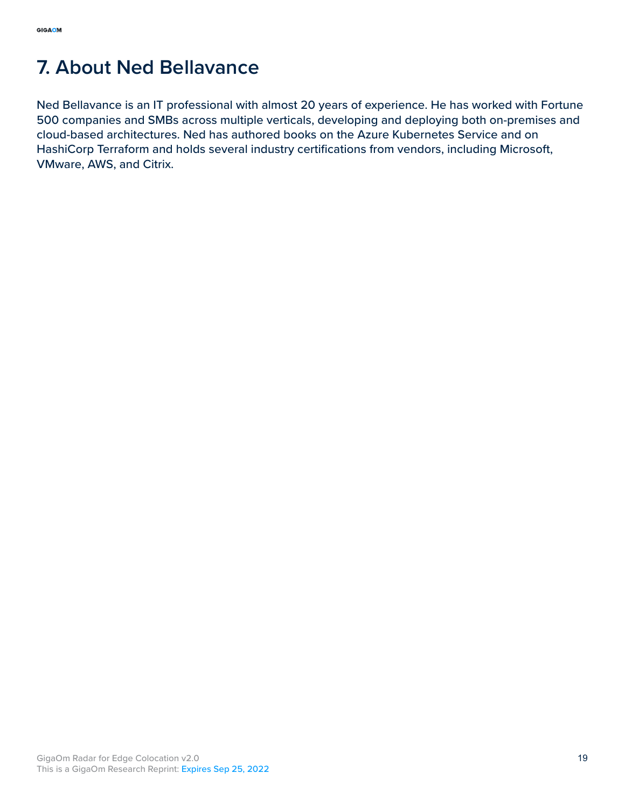# <span id="page-18-0"></span>**7. About Ned Bellavance**

Ned Bellavance is an IT professional with almost 20 years of experience. He has worked with Fortune 500 companies and SMBs across multiple verticals, developing and deploying both on-premises and cloud-based architectures. Ned has authored books on the Azure Kubernetes Service and on HashiCorp Terraform and holds several industry certifications from vendors, including Microsoft, VMware, AWS, and Citrix.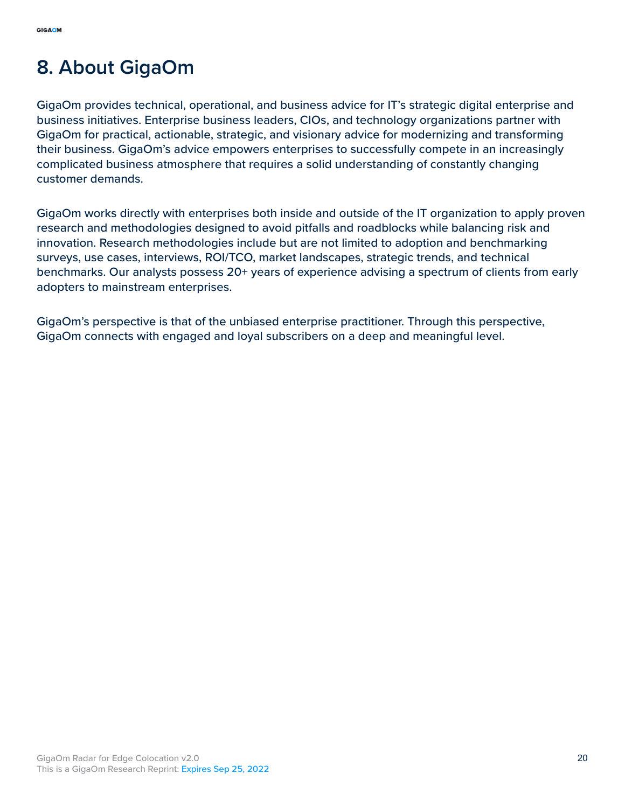# <span id="page-19-0"></span>**8. About GigaOm**

GigaOm provides technical, operational, and business advice for IT's strategic digital enterprise and business initiatives. Enterprise business leaders, CIOs, and technology organizations partner with GigaOm for practical, actionable, strategic, and visionary advice for modernizing and transforming their business. GigaOm's advice empowers enterprises to successfully compete in an increasingly complicated business atmosphere that requires a solid understanding of constantly changing customer demands.

GigaOm works directly with enterprises both inside and outside of the IT organization to apply proven research and methodologies designed to avoid pitfalls and roadblocks while balancing risk and innovation. Research methodologies include but are not limited to adoption and benchmarking surveys, use cases, interviews, ROI/TCO, market landscapes, strategic trends, and technical benchmarks. Our analysts possess 20+ years of experience advising a spectrum of clients from early adopters to mainstream enterprises.

GigaOm's perspective is that of the unbiased enterprise practitioner. Through this perspective, GigaOm connects with engaged and loyal subscribers on a deep and meaningful level.